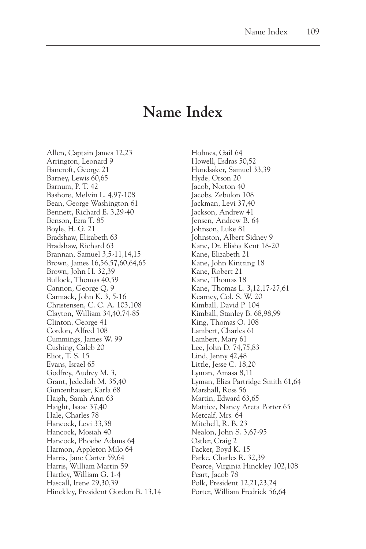## **Name Index**

Allen, Captain James 12,23 Arrington, Leonard 9 Bancroft, George 21 Barney, Lewis 60,65 Barnum, P. T. 42 Bashore, Melvin L. 4,97-108 Bean, George Washington 61 Bennett, Richard E. 3,29-40 Benson, Ezra T. 85 Boyle, H. G. 21 Bradshaw, Elizabeth 63 Bradshaw, Richard 63 Brannan, Samuel 3,5-11,14,15 Brown, James 16,56,57,60,64,65 Brown, John H. 32,39 Bullock, Thomas 40,59 Cannon, George Q. 9 Carmack, John K. 3, 5-16 Christensen, C. C. A. 103,108 Clayton, William 34,40,74-85 Clinton, George 41 Cordon, Alfred 108 Cummings, James W. 99 Cushing, Caleb 20 Eliot, T. S. 15 Evans, Israel 65 Godfrey, Audrey M. 3, Grant, Jedediah M. 35,40 Gunzenhauser, Karla 68 Haigh, Sarah Ann 63 Haight, Isaac 37,40 Hale, Charles 78 Hancock, Levi 33,38 Hancock, Mosiah 40 Hancock, Phoebe Adams 64 Harmon, Appleton Milo 64 Harris, Jane Carter 59,64 Harris, William Martin 59 Hartley, William G. 1-4 Hascall, Irene 29,30,39 Hinckley, President Gordon B. 13,14 Holmes, Gail 64 Howell, Esdras 50,52 Hundsaker, Samuel 33,39 Hyde, Orson 20 Jacob, Norton 40 Jacobs, Zebulon 108 Jackman, Levi 37,40 Jackson, Andrew 41 Jensen, Andrew B. 64 Johnson, Luke 81 Johnston, Albert Sidney 9 Kane, Dr. Elisha Kent 18-20 Kane, Elizabeth 21 Kane, John Kintzing 18 Kane, Robert 21 Kane, Thomas 18 Kane, Thomas L. 3,12,17-27,61 Kearney, Col. S. W. 20 Kimball, David P. 104 Kimball, Stanley B. 68,98,99 King, Thomas O. 108 Lambert, Charles 61 Lambert, Mary 61 Lee, John D. 74,75,83 Lind, Jenny 42,48 Little, Jesse C. 18,20 Lyman, Amasa 8,11 Lyman, Eliza Partridge Smith 61,64 Marshall, Ross 56 Martin, Edward 63,65 Mattice, Nancy Areta Porter 65 Metcalf, Mrs. 64 Mitchell, R. B. 23 Nealon, John S. 3,67-95 Ostler, Craig 2 Packer, Boyd K. 15 Parke, Charles R. 32,39 Pearce, Virginia Hinckley 102,108 Peart, Jacob 78 Polk, President 12,21,23,24 Porter, William Fredrick 56,64